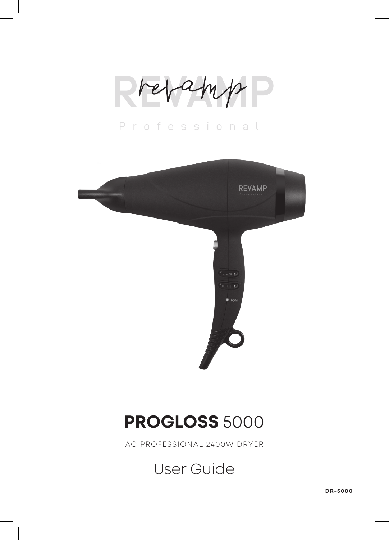Professional



## **PROGLOSS** 5000

AC PROFESSIONAL 2400W DRYER

User Guide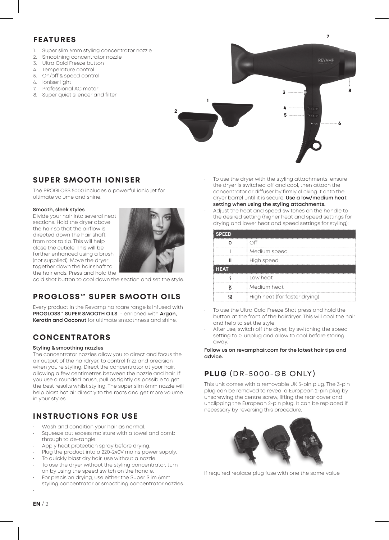### **FEATURES**

- 1. Super slim 6mm styling concentrator nozzle
- 2. Smoothing concentrator nozzle
- 3. Ultra Cold Freeze button
- 4. Temperature control<br>5. On/off & speed control 5. On/off & speed control
- 
- 6. Ioniser light<br>7 Professiona
- Professional AC motor 8. Super quiet silencer and filter



### **SUPER SMOOTH IONISER**

The PROGLOSS 5000 includes a powerful ionic jet for ultimate volume and shine.

#### **Smooth, sleek styles**

Divide your hair into several neat sections. Hold the dryer above the hair so that the airflow is directed down the hair shaft from root to tip. This will help close the cuticle. This will be further enhanced using a brush (not supplied). Move the dryer together down the hair shaft to the hair ends. Press and hold the



cold shot button to cool down the section and set the style.

## **PROGLOSS™ SUPER SMOOTH OILS**

Every product in the Revamp haircare range is infused with **PROGLOSS™ SUPER SMOOTH OILS** - enriched with **Argan, Keratin and Coconut** for ultimate smoothness and shine.

### **CONCENTRATORS**

#### **Styling & smoothing nozzles**

The concentrator nozzles allow you to direct and focus the air output of the hairdryer, to control frizz and precision when you're styling. Direct the concentrator at your hair, allowing a few centimetres between the nozzle and hair. If you use a rounded brush, pull as tightly as possible to get the best results whilst styling. The super slim 6mm nozzle will help blast hot air directly to the roots and get more volume in your styles.

### **INSTRUCTIONS FOR USE**

- Wash and condition your hair as normal.
- Squeeze out excess moisture with a towel and comb through to de-tangle.
- Apply heat protection spray before drying.
- Plug the product into a 220-240V mains power supply.
- To quickly blast dry hair, use without a nozzle.
- To use the dryer without the styling concentrator, turn on by using the speed switch on the handle.
- For precision drying, use either the Super Slim 6mm
- styling concentrator or smoothing concentrator nozzles.

To use the dryer with the styling attachments, ensure the dryer is switched off and cool, then attach the concentrator or diffuser by firmly clicking it onto the dryer barrel until it is secure. **Use a low/medium heat setting when using the styling attachments.**

**6**

**8**

**7**

• Adjust the heat and speed switches on the handle to the desired setting (higher heat and speed settings for drying and lower heat and speed settings for styling):

| <b>SPEED</b> |                               |  |
|--------------|-------------------------------|--|
|              | ∩ff                           |  |
|              | Medium speed                  |  |
|              | High speed                    |  |
| <b>HEAT</b>  |                               |  |
|              | Low heat                      |  |
|              | Medium heat                   |  |
|              | High heat (for faster drying) |  |

- To use the Ultra Cold Freeze Shot press and hold the button at the front of the hairdryer. This will cool the hair and help to set the style.
- After use, switch off the dryer, by switching the speed setting to 0, unplug and allow to cool before storing away.

**Follow us on revamphair.com for the latest hair tips and advice.**

### **PLUG** (DR-5000-GB ONLY)

This unit comes with a removable UK 3-pin plug. The 3-pin plug can be removed to reveal a European 2-pin plug by unscrewing the centre screw, lifting the rear cover and unclipping the European 2-pin plug. It can be replaced if necessary by reversing this procedure.



If required replace plug fuse with one the same value

•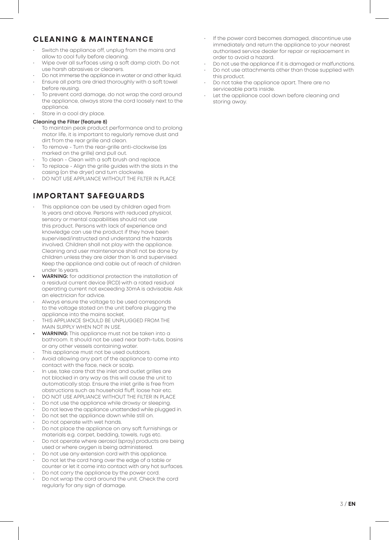### **CLEANING & MAINTENANCE**

- Switch the appliance off, unplug from the mains and allow to cool fully before cleaning.
- Wipe over all surfaces using a soft damp cloth. Do not use harsh abrasives or cleaners.
- Do not immerse the appliance in water or and other liquid.
- Ensure all parts are dried thoroughly with a soft towel before reusing.
- To prevent cord damage, do not wrap the cord around the appliance, always store the cord loosely next to the appliance.
- Store in a cool dry place.

#### **Cleaning the Filter (feature 8)**

- To maintain peak product performance and to prolong motor life, it is important to regularly remove dust and dirt from the rear grille and clean.
- To remove Turn the rear-grille anti-clockwise (as marked on the grille) and pull out.
- To clean Clean with a soft brush and replace.
- To replace Align the grille guides with the slots in the casing (on the dryer) and turn clockwise.
- DO NOT USE APPLIANCE WITHOUT THE FILTER IN PLACE

### **IMPORTANT SAFEGUARDS**

- This appliance can be used by children aged from 16 years and above. Persons with reduced physical, sensory or mental capabilities should not use this product. Persons with lack of experience and knowledge can use the product if they have been supervised/instructed and understand the hazards involved. Children shall not play with the appliance. Cleaning and user maintenance shall not be done by children unless they are older than 16 and supervised. Keep the appliance and cable out of reach of children under 16 years.
- **• WARNING:** for additional protection the installation of a residual current device (RCD) with a rated residual operating current not exceeding 30mA is advisable. Ask an electrician for advice.
- Always ensure the voltage to be used corresponds to the voltage stated on the unit before plugging the appliance into the mains socket.
- THIS APPLIANCE SHOULD BE UNPLUGGED FROM THE MAIN SUPPLY WHEN NOT IN USE.
- **• WARNING:** This appliance must not be taken into a bathroom. It should not be used near bath-tubs, basins or any other vessels containing water.
- This appliance must not be used outdoors.
- Avoid allowing any part of the appliance to come into contact with the face, neck or scalp.
- In use, take care that the inlet and outlet grilles are not blocked in any way as this will cause the unit to automatically stop. Ensure the inlet grille is free from obstructions such as household fluff, loose hair etc.
- DO NOT USE APPLIANCE WITHOUT THE FILTER IN PLACE
- Do not use the appliance while drowsy or sleeping.
- Do not leave the appliance unattended while plugged in.
- Do not set the appliance down while still on.
- Do not operate with wet hands.
- Do not place the appliance on any soft furnishings or materials e.g. carpet, bedding, towels, rugs etc.
- Do not operate where aerosol (spray) products are being used or where oxygen is being administered.
- Do not use any extension cord with this appliance.
- Do not let the cord hang over the edge of a table or counter or let it come into contact with any hot surfaces.
- Do not carry the appliance by the power cord.
- Do not wrap the cord around the unit. Check the cord regularly for any sign of damage.
- If the power cord becomes damaged, discontinue use immediately and return the appliance to your nearest authorised service dealer for repair or replacement in order to avoid a hazard.
- Do not use the appliance if it is damaged or malfunctions.
- Do not use attachments other than those supplied with this product.
- Do not take the appliance apart. There are no serviceable parts inside.
- Let the appliance cool down before cleaning and storing away.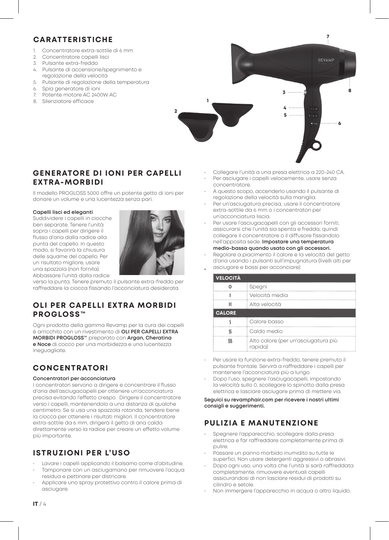#### **CARATTERISTICHE**

- Concentratore extra-sottile di 6 mm
- 2. Concentratore capelli lisci
- 3. Pulsante extra-freddo
- 4. Pulsante di accensione/spegnimento e regolazione della velocità
- 5. Pulsante di regolazione della temperatura
- 6. Spia generatore di ioni
- 7. Potente motore AC 2400W AC
- 8. Silenziatore efficace



#### **GENERATORE DI IONI PER CAPELLI EXTRA-MORBIDI**

Il modello PROGLOSS 5000 offre un potente getto di ioni per donare un volume e una lucentezza senza pari.

#### **Capelli lisci ed eleganti**

Suddividere i capelli in ciocche ben separate. Tenere l'unità sopra i capelli per dirigere il flusso d'aria dalla radice alla punta del capello. In questo modo, si favorirà la chiusura delle squame del capello. Per un risultato migliore, usare una spazzola (non fornita). Abbassare l'unità dalla radice



verso la punta. Tenere premuto il pulsante extra-freddo per raffreddare la ciocca fissando l'acconciatura desiderata.

#### **OLI PER CAPELLI EXTRA MORBIDI PROGLOSS™**

Ogni prodotto della gamma Revamp per la cura dei capelli è arricchito con un rivestimento di **OLI PER CAPELLI EXTRA MORBIDI PROGLOSS™** preparato con **Argan, Cheratina e Noce** di cocco per una morbidezza e una lucentezza ineguagliate.

### **CONCENTRATORI**

#### **Concentratori per acconciatura**

I concentratori servono a dirigere e concentrare il flusso d'aria dell'asciugacapelli per ottenere un'acconciatura precisa evitando l'effetto crespo. Dirigere il concentratore verso i capelli, mantenendolo a una distanza di qualche centimetro. Se si usa una spazzola rotonda, tendere bene la ciocca per ottenere i risultati migliori. Il concentratore extra-sottile da 6 mm, dirigerà il getto di aria calda direttamente verso la radice per creare un effetto volume più importante.

### **ISTRUZIONI PER L'USO**

- Lavare i capelli applicando il balsamo come d'abitudine. • Tamponare con un asciugamano per rimuovere l'acqua
- residua e pettinare per districare. • Applicare uno spray protettivo contro il calore prima di
- asciugare.
- Collegare l'unità a una presa elettrica a 220-240 CA.
- Per asciugare i capelli velocemente, usare senza concentratore.
- A questo scopo, accenderlo usando il pulsante di regolazione della velocità sulla maniglia.
- Per un'asciugatura precisa, usare il concentratore extra-sottile da 6 mm o i concentratori per un'acconciatura liscia.
- Per usare l'asciugacapelli con gli accessori forniti, assicurarsi che l'unità sia spenta e fredda, quindi collegare il concentratore o il diffusore fissandolo nell'apposita sede. **Impostare una temperatura medio-bassa quando usato con gli accessori.**
- Regolare a piacimento il calore e la velocità del getto

| <b>VELOCITÀ</b>                                             |
|-------------------------------------------------------------|
| asciugare e bassi per acconciare):                          |
| d'aria usando i pulsanti sull'impugnatura (livelli alti per |

|               | Spegni                                         |  |
|---------------|------------------------------------------------|--|
|               | Velocità media                                 |  |
|               | Alta velocità                                  |  |
| <b>CALORE</b> |                                                |  |
|               | Calore basso                                   |  |
|               | Caldo medio                                    |  |
|               | Alto calore (per un'asciugatura più<br>rapida) |  |

- Per usare la funzione extra-freddo, tenere premuto il pulsante frontale. Servirà a raffreddare i capelli per mantenere l'acconciatura più a lungo.
- Dopo l'uso, spegnere l'asciugacapelli, impostando la velocità sullo 0, scollegare lo spinotto dalla presa elettrica e lasciare asciugare prima di mettere via.

**Seguici su revamphair.com per ricevere i nostri ultimi consigli e suggerimenti.**

### **PULIZIA E MANUTENZIONE**

- Spegnere l'apparecchio, scollegare dalla presa elettrica e far raffreddare completamente prima di pulire.
- Passare un panno morbido inumidito su tutte le superfici. Non usare detergenti aggressivi o abrasivi.
- Dopo ogni uso, una volta che l'unità si sarà raffreddata completamente, rimuovere eventuali capelli assicurandosi di non lasciare residui di prodotti su cilindro e setole.
- Non immergere l'apparecchio in acqua o altro liquido.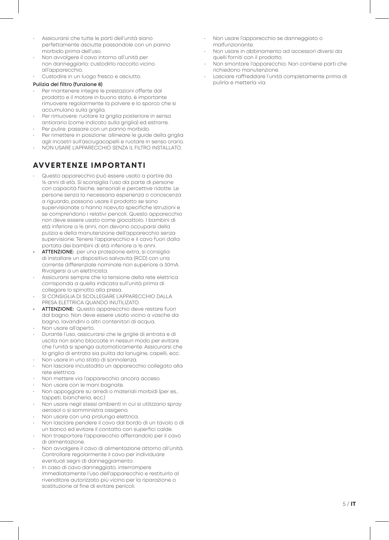- Assicurarsi che tutte le parti dell'unità siano perfettamente asciutte passandole con un panno morbido prima dell'uso.
- Non avvolgere il cavo intorno all'unità per non danneggiarlo: custodirlo raccolto vicino all'apparecchio.
- Custodire in un luogo fresco e asciutto.

#### **Pulizia del filtro (funzione 8)**

- Per mantenere integre le prestazioni offerte dal prodotto e il motore in buono stato, è importante rimuovere regolarmente la polvere e lo sporco che si accumulano sulla griglia.
- Per rimuovere: ruotare la griglia posteriore in senso antiorario (come indicato sulla griglia) ed estrarre.
- Per pulire: passare con un panno morbido. • Per rimettere in posizione: allineare le guide della griglia
- agli incastri sull'asciugacapelli e ruotare in senso orario. • NON USARE L'APPARECCHIO SENZA IL FILTRO INSTALLATO.

#### **AVVERTENZE IMPORTANTI**

- Questo apparecchio può essere usato a partire da 16 anni di età. Si sconsiglia l'uso da parte di persone con capacità fisiche, sensoriali e percettive ridotte. Le persone senza la necessaria esperienza o conoscenza a riguardo, possono usare il prodotto se sono supervisionate o hanno ricevuto specifiche istruzioni e se comprendono i relativi pericoli. Questo apparecchio non deve essere usato come giocattolo. I bambini di età inferiore a 16 anni, non devono occuparsi della pulizia e della manutenzione dell'apparecchio senza supervisione. Tenere l'apparecchio e il cavo fuori dalla portata dei bambini di età inferiore a 16 anni.
- **• ATTENZIONE:** per una protezione extra, si consiglia di installare un dispositivo salvavita (RCD) con una corrente differenziale nominale non superiore a 30mA. Rivolgersi a un elettricista.
- Assicurarsi sempre che la tensione della rete elettrica corrisponda a quella indicata sull'unità prima di collegare lo spinotto alla presa.
- SI CONSIGLIA DI SCOLLEGARE L'APPARECCHIO DALLA PRESA ELETTRICA QUANDO INUTILIZATO.
- **• ATTENZIONE:** Questo apparecchio deve restare fuori dal bagno. Non deve essere usato vicino a vasche da bagno, lavandini o altri contenitori di acqua.
- Non usare all'aperto.
- Durante l'uso, assicurarsi che le griglie di entrata e di uscita non siano bloccate in nessun modo per evitare che l'unità si spenga automaticamente. Assicurarsi che la griglia di entrata sia pulita da lanugine, capelli, ecc.
- Non usare in uno stato di sonnolenza.
- Non lasciare incustodito un apparecchio collegato alla rete elettrica.
- Non mettere via l'apparecchio ancora acceso.
- Non usare con le mani bagnate.
- Non appoggiare su arredi o materiali morbidi (per es., tappeti, biancheria, ecc.)
- Non usare negli stessi ambienti in cui si utilizzano spray aerosol o si somministra ossigeno.
- Non usare con una prolunga elettrica.
- Non lasciare pendere il cavo dal bordo di un tavolo o di un banco ed evitare il contatto con superfici calde.
- Non trasportare l'apparecchio afferrandolo per il cavo di alimentazione.
- Non avvolgere il cavo di alimentazione attorno all'unità. Controllare regolarmente il cavo per individuare eventuali segni di danneggiamento.
- In caso di cavo danneggiato, interrompere immediatamente l'uso dell'apparecchio e restituirlo al rivenditore autorizzato più vicino per la riparazione o sostituzione al fine di evitare pericoli.
- Non usare l'apparecchio se danneggiato o malfunzionante.
- Non usare in abbinamento ad accessori diversi da quelli forniti con il prodotto.
- Non smontare l'apparecchio. Non contiene parti che richiedono manutenzione.
- Lasciare raffreddare l'unità completamente prima di pulirla e metterla via.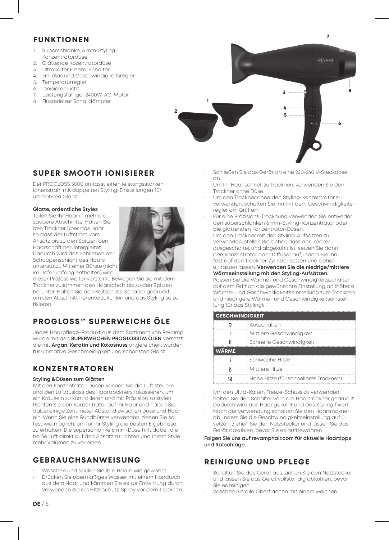#### **FUNKTIONEN**

- 1. Superschlanke, 6 mm-Styling-Konzentratordüse
- 2. Glättende Kozentratordüse
- 3. Ultrakalter Freeze-Schalter<br>4 Fin-/Aus und Geschwindigk
- 4. Ein-/Aus und Geschwindigkeitsregler
- 5. Temperaturregler
- 6. Ionisierer-Licht
- 7. Leistungsfähiger 2400W-AC-Motor
- 8. Flüsterleiser Schalldämpfer **1**



#### **SUPER SMOOTH IONISIERER**

Der PROGLOSS 5000 umfasst einen leistungsstarken Ionenstrahl mit doppelten Styling-Einstellungen für ultimativen Glanz.

#### **Glatte, ordentliche Styles**

Teilen Sie Ihr Haar in mehrere, saubere Abschnitte. Halten Sie den Trockner über das Haar, so dass der Luftstrom vom Ansatz bis zu den Spitzen den Haarschaft heruntergleitet. Dadurch wird das Schließen der Schuppenschicht des Haars unterstützt. Mit einer Bürste (nicht im Lieferumfang enthalten) wird



dieser Prozess weiter verstärkt. Bewegen Sie sie mit dem Trockner zusammen den Haarschaft bis zu den Spitzen herunter. Halten Sie den Kaltschuss-Schalter gedrückt, um den Abschnitt herunterzukühlen und das Styling so zu fixieren.

### **PROGLOSS™ SUPERWEICHE ÖLE**

Jedes Haarpflege-Produkt aus dem Sortiment von Revamp wurde mit den **SUPERWEICHEN PROGLOSSTM ÖLEN** versetzt, die mit **Argan, Keratin und Kokosnuss** angereichert wurden, für ultimative Geschmeidigkeit und schönsten Glanz.

#### **KONZENTRATOREN**

#### **Styling & Düsen zum Glätten**

Mit den Konzentrator-Düsen können Sie die Luft steuern und den Luftauslass des Haartrockners fokussieren, um ein Kräuseln zu kontrollieren und mit Präzision zu stylen. Richten Sie den Konzentrator auf Ihr Haar und halten Sie dabei einige Zentimeter Abstand zwischen Düse und Haar ein. Wenn Sie eine Rundbürste verwenden, ziehen Sie so fest wie möglich, um für Ihr Styling die besten Ergebnisse zu erhalten. Die superschlanke 6 mm-Düse hilft dabei, die heiße Luft direkt auf den Ansatz zu richten und Ihrem Style mehr Volumen zu verleihen.

#### **GEBRAUCHSANWEISUNG**

- Waschen und spülen Sie Ihre Haare wie gewohnt. • Drücken Sie übermäßiges Wasser mit einem Handtuch
- aus dem Haar und kämmen Sie es zur Entwirrung durch.
- Verwenden Sie ein Hitzeschutz-Spray vor dem Trocknen.
- Schließen Sie das Gerät an eine 220-240 V-Steckdose an.
- Um Ihr Haar schnell zu trocknen, verwenden Sie den Trockner ohne Düse.
- Um den Trockner ohne den Styling-Konzentrator zu verwenden, schalten Sie ihn mit dem Geschwindigkeitsregler am Griff ein.
- Für eine Präzisions-Trocknung verwenden Sie entweder den superschlanken 6 mm-Styling-Konzentrator oder die glättenden Konzentrator-Düsen.
- Um den Trockner mit den Styling-Aufsätzen zu verwenden, stellen Sie sicher, dass der Trocker ausgeschaltet und abgekühlt ist, setzen Sie dann den Konzentrator oder Diffusor auf, indem Sie ihn fest auf den Trockner-Zylinder setzen und sicher einrasten lassen. **Verwenden Sie die niedrige/mittlere Wärmeeinstellung mit den Styling-Aufsätzen.**
- Passen Sie die Wärme- und Geschwindigkeitsschalter auf dem Griff an die gewünschte Einstellung an (höhere Wärme- und Geschwindigkeitseinstellung zum Trocknen und niedrigere Wärme- und Geschwindigkeitseinstellung für das Styling):

| <b>GESCHWINDIGKEIT</b> |                                       |  |
|------------------------|---------------------------------------|--|
|                        | Ausschalten                           |  |
|                        | Mittlere Geschwindigkeit              |  |
|                        | Schnelle Geschwindigkeit              |  |
| <b>WÄRME</b>           |                                       |  |
|                        | Schwache Hitze                        |  |
|                        | Mittlere Hitze                        |  |
|                        | Hohe Hitze (für schnelleres Trocknen) |  |

- Um den Ultra-Kalten Freeze-Schuss zu verwenden, halten Sie den Schalter vorn am Haartrockner gedrückt. Dadurch wird das Haar gekühlt und das Styling fixiert.
- Nach der Verwendung schalten Sie den Haartrockner ab, indem Sie die Geschwindigkeitseinstellung auf 0 setzen, ziehen Sie den Netzstecker und lassen Sie das Gerät abkühlen, bevor Sie es aufbewahren.

#### **Folgen Sie uns auf revamphair.com für aktuelle Haartipps und Ratschläge.**

#### **REINIGUNG UND PFLEGE**

- Schalten Sie das Gerät aus, ziehen Sie den Netzstecker und lassen Sie das Gerät vollständig abkühlen, bevor Sie es reinigen.
- Wischen Sie alle Oberflächen mit einem weichen,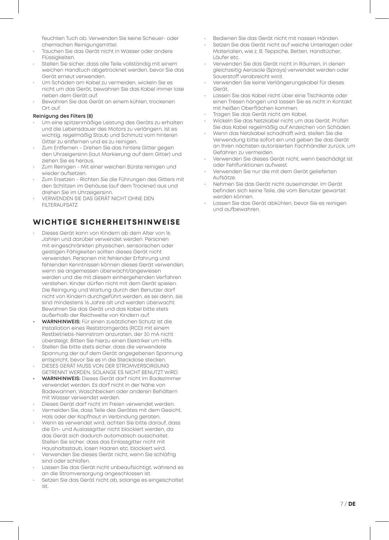feuchten Tuch ab. Verwenden Sie keine Scheuer- oder chemischen Reinigungsmittel.

- Tauchen Sie das Gerät nicht in Wasser oder andere Flüssigkeiten.
- Stellen Sie sicher, dass alle Teile vollständig mit einem weichen Handtuch abgetrocknet werden, bevor Sie das Gerät erneut verwenden.
- Um Schäden am Kabel zu vermeiden, wickeln Sie es nicht um das Gerät, bewahren Sie das Kabel immer lose neben dem Gerät auf.
- Bewahren Sie das Gerät an einem kühlen, trockenen Ort auf.

#### **Reinigung des Filters (8)**

- Um eine spitzenmäßige Leistung des Geräts zu erhalten und die Lebensdauer des Motors zu verlängern, ist es wichtig, regelmäßig Staub und Schmutz vom hinteren Gitter zu entfernen und es zu reinigen.
- Zum Entfernen Drehen Sie das hintere Gitter gegen den Uhrzeigersinn (laut Markierung auf dem Gitter) und ziehen Sie es heraus.
- Zum Reinigen Mit einer weichen Bürste reinigen und wieder aufsetzen.
- Zum Ersetzen Richten Sie die Führungen des Gitters mit den Schlitzen im Gehäuse (auf dem Trockner) aus und drehen Sie im Uhrzeigersinn.
- VERWENDEN SIE DAS GERÄT NICHT OHNE DEN FILTERAUFSATZ

#### **WICHTIGE SICHERHEITSHINWEISE**

- Dieses Gerät kann von Kindern ab dem Alter von 16 Jahren und darüber verwendet werden. Personen mit eingeschränkten physischen, sensorischen oder geistigen Fähigkeiten sollten dieses Gerät nicht verwenden. Personen mit fehlender Erfahrung und fehlenden Kenntnissen können dieses Gerät verwenden, wenn sie angemessen überwacht/angewiesen werden und die mit diesem einhergehenden Verfahren verstehen. Kinder dürfen nicht mit dem Gerät spielen. Die Reinigung und Wartung durch den Benutzer darf nicht von Kindern durchgeführt werden, es sei denn, sie sind mindestens 16 Jahre alt und werden überwacht. Bewahren Sie das Gerät und das Kabel bitte stets außerhalb der Reichweite von Kindern auf.
- **• WARNHINWEIS:** Für einen zusätzlichen Schutz ist die Installation eines Reststromgeräts (RCD) mit einem Restbetriebs-Nennstrom anzuraten, der 30 mA nicht übersteigt. Bitten Sie hierzu einen Elektriker um Hilfe.
- Stellen Sie bitte stets sicher, dass die verwendete Spannung der auf dem Gerät angegebenen Spannung entspricht, bevor Sie es in die Steckdose stecken.
- DIESES GERÄT MUSS VON DER STROMVERSORGUNG GETRENNT WERDEN, SOLANGE ES NICHT BENUTZT WIRD.
- **• WARNHINWEIS:** Dieses Gerät darf nicht im Badezimmer verwendet werden. Es darf nicht in der Nähe von Badewannen, Waschbecken oder anderen Behältern mit Wasser verwendet werden.
- Dieses Gerät darf nicht im Freien verwendet werden.
- Vermeiden Sie, dass Teile des Gerätes mit dem Gesicht, Hals oder der Kopfhaut in Verbindung geraten.
- Wenn es verwendet wird, achten Sie bitte darauf, dass die Ein- und Auslassgitter nicht blockiert werden, da das Gerät sich dadurch automatisch ausschaltet. Stellen Sie sicher, dass das Einlassgitter nicht mit Haushaltsstaub, losen Haaren etc. blockiert wird.
- Verwenden Sie dieses Gerät nicht, wenn Sie schläfrig sind oder schlafen.
- Lassen Sie das Gerät nicht unbeaufsichtigt, während es an die Stromversorgung angeschlossen ist.
- Setzen Sie das Gerät nicht ab, solange es eingeschaltet ist.
- Bedienen Sie das Gerät nicht mit nassen Händen.
- Setzen Sie das Gerät nicht auf weiche Unterlagen oder Materialien, wie z. B. Teppiche, Betten, Handtücher, Läufer etc.
- Verwenden Sie das Gerät nicht in Räumen, in denen gleichzeitig Aerosole (Sprays) verwendet werden oder Sauerstoff verabreicht wird.
- Verwenden Sie keine Verlängerungskabel für dieses Gerät.
- Lassen Sie das Kabel nicht über eine Tischkante oder einen Tresen hängen und lassen Sie es nicht in Kontakt mit heißen Oberflächen kommen.
- Tragen Sie das Gerät nicht am Kabel.
- Wickeln Sie das Netzkabel nicht um das Gerät. Prüfen Sie das Kabel regelmäßig auf Anzeichen von Schäden.
- Wenn das Netzkabel schadhaft wird, stellen Sie die Verwendung bitte sofort ein und geben Sie das Gerät an Ihren nächsten autorisierten Fachhändler zurück, um Gefahren zu vermeiden.
- Verwenden Sie dieses Gerät nicht, wenn beschädigt ist oder Fehlfunktionen aufweist.
- Verwenden Sie nur die mit dem Gerät gelieferten Aufsätze.
- Nehmen Sie das Gerät nicht auseinander. Im Gerät befinden sich keine Teile, die vom Benutzer gewartet werden können.
- Lassen Sie das Gerät abkühlen, bevor Sie es reinigen und aufbewahren.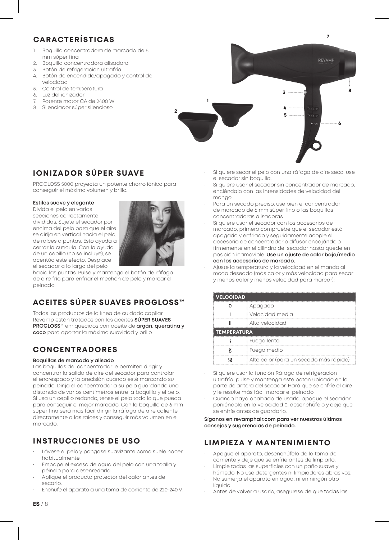### **CARACTERÍSTICAS**

- 1. Boquilla concentradora de marcado de 6 mm súper fina
- 2. Boquilla concentradora alisadora
- 3. Botón de refrigeración ultrafría<br>4. Botón de encendido/apagado
- 4. Botón de encendido/apagado y control de velocidad
- 5. Control de temperatura
- 6. Luz del ionizador
- 7. Potente motor CA de 2400 W 8. Silenciador súper silencioso



### **IONIZADOR SÚPER SUAVE**

PROGLOSS 5000 proyecta un potente chorro iónico para conseguir el máximo volumen y brillo.

#### **Estilos suave y elegante**

Divida el pelo en varias secciones correctamente divididas. Sujete el secador por encima del pelo para que el aire se dirija en vertical hacia el pelo, de raíces a puntas. Esto ayuda a cerrar la cutícula. Con la ayuda de un cepillo (no se incluye), se acentúa este efecto. Desplace el secador a lo largo del pelo



hacia las puntas. Pulse y mantenga el botón de ráfaga de aire frío para enfriar el mechón de pelo y marcar el peinado.

## **ACEITES SÚPER SUAVES PROGLOSS™**

Todos los productos de la línea de cuidado capilar Revamp están tratados con los aceites **SÚPER SUAVES PROGLOSS™** enriquecidos con aceite de **argán, queratina y coco** para aportar la máxima suavidad y brillo.

### **CONCENTRADORES**

#### **Boquillas de marcado y alisado**

Las boquillas del concentrador le permiten dirigir y concentrar la salida de aire del secador para controlar el encrespado y la precisión cuando esté marcando su peinado. Dirija el concentrador a su pelo guardando una distancia de varios centímetros entre la boquilla y el pelo. Si usa un cepillo redondo, tense el pelo todo lo que pueda para conseguir el mejor marcado. Con la boquilla de 6 mm súper fina será más fácil dirigir la ráfaga de aire caliente directamente a las raíces y conseguir más volumen en el marcado.

### **INSTRUCCIONES DE USO**

- Lávese el pelo y póngase suavizante como suele hacer habitualmente.
- Empape el exceso de agua del pelo con una toalla y péinelo para desenredarlo.
- Aplique el producto protector del calor antes de secarlo.
- Enchufe el aparato a una toma de corriente de 220-240 V.

• Si quiere secar el pelo con una ráfaga de aire seco, use el secador sin boquilla.

**7**

- Si quiere usar el secador sin concentrador de marcado, enciéndalo con las intensidades de velocidad del mango.
- Para un secado preciso, use bien el concentrador de marcado de 6 mm súper fino o las boquillas concentradoras alisadoras.
- Si quiere usar el secador con los accesorios de marcado, primero compruebe que el secador está apagado y enfriado y seguidamente acople el accesorio de concentrador o difusor encajándolo firmemente en el cilindro del secador hasta quede en posición inamovible. **Use un ajuste de calor bajo/medio con los accesorios de marcado.**
- Ajuste la temperatura y la velocidad en el mando al modo deseado (más calor y más velocidad para secar y menos calor y menos velocidad para marcar):

| <b>VELOCIDAD</b>   |                                        |  |
|--------------------|----------------------------------------|--|
|                    | Apagado                                |  |
|                    | Velocidad media                        |  |
|                    | Alta velocidad                         |  |
| <b>TEMPERATURA</b> |                                        |  |
|                    | Fuego lento                            |  |
|                    | Fuego medio                            |  |
|                    | Alto calor (para un secado más rápido) |  |

- Si quiere usar la función Ráfaga de refrigeración ultrafría, pulse y mantenga este botón ubicado en la parte delantera del secador. Hará que se enfríe el aire y le resulte más fácil marcar el peinado.
- Cuando haya acabado de usarlo, apague el secador poniéndolo en la velocidad 0, desenchúfelo y deje que se enfríe antes de guardarlo.

**Síganos en revamphair.com para ver nuestros últimos consejos y sugerencias de peinado.**

### **LIMPIEZA Y MANTENIMIENTO**

- Apague el aparato, desenchúfelo de la toma de corriente y deje que se enfríe antes de limpiarlo.
- Limpie todas las superficies con un paño suave y húmedo. No use detergentes ni limpiadores abrasivos.
- No sumerja el aparato en agua, ni en ningún otro líquido.
- Antes de volver a usarlo, asegúrese de que todas las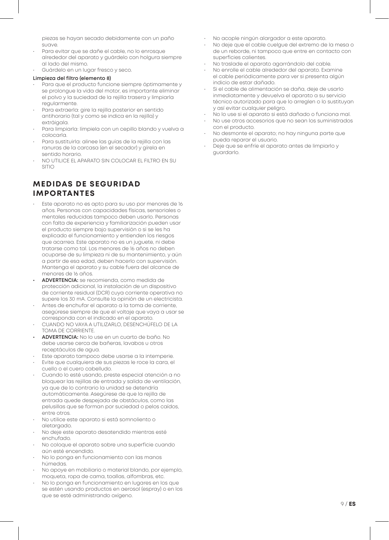piezas se hayan secado debidamente con un paño suave.

- Para evitar que se dañe el cable, no lo enrosque alrededor del aparato y guárdelo con holgura siempre al lado del mismo.
- Guárdelo en un lugar fresco y seco.

#### **Limpieza del filtro (elemento 8)**

- Para que el producto funcione siempre óptimamente y se prolongue la vida del motor, es importante eliminar el polvo y la suciedad de la rejilla trasera y limpiarla regularmente.
- Para extraerla: gire la rejilla posterior en sentido antihorario (tal y como se indica en la rejilla) y extráigala.
- Para limpiarla: límpiela con un cepillo blando y vuelva a colocarla.
- Para sustituirla: alinee las guías de la rejilla con las ranuras de la carcasa (en el secador) y gírela en sentido horario.
- NO UTILICE EL APARATO SIN COLOCAR EL FILTRO EN SU SITIO

#### **MEDIDAS DE SEGURIDAD IMPORTANTES**

- Este aparato no es apto para su uso por menores de 16 años. Personas con capacidades físicas, sensoriales o mentales reducidas tampoco deben usarlo. Personas con falta de experiencia y familiarización pueden usar el producto siempre bajo supervisión o si se les ha explicado el funcionamiento y entienden los riesgos que acarrea. Este aparato no es un juguete, ni debe tratarse como tal. Los menores de 16 años no deben ocuparse de su limpieza ni de su mantenimiento, y aún a partir de esa edad, deben hacerlo con supervisión. Mantenga el aparato y su cable fuera del alcance de menores de 16 años.
- **• ADVERTENCIA:** se recomienda, como medida de protección adicional, la instalación de un dispositivo de corriente residual (DCR) cuya corriente operativa no supere los 30 mA. Consulte la opinión de un electricista.
- Antes de enchufar el aparato a la toma de corriente, asegúrese siempre de que el voltaje que vaya a usar se corresponda con el indicado en el aparato.
- CUANDO NO VAYA A UTILIZARLO, DESENCHÚFELO DE LA TOMA DE CORRIENTE.
- **• ADVERTENCIA:** No lo use en un cuarto de baño. No debe usarse cerca de bañeras, lavabos u otros receptáculos de agua.
- Este aparato tampoco debe usarse a la intemperie.
- Evite que cualquiera de sus piezas le roce la cara, el cuello o el cuero cabelludo.
- Cuando lo esté usando, preste especial atención a no bloquear las rejillas de entrada y salida de ventilación, ya que de lo contrario la unidad se detendría automáticamente. Asegúrese de que la rejilla de entrada quede despejada de obstáculos, como las pelusillas que se forman por suciedad o pelos caídos, entre otros.
- No utilice este aparato si está somnoliento o aletargado.
- No deje este aparato desatendido mientras esté enchufado.
- No coloque el aparato sobre una superficie cuando aún esté encendido.
- No lo ponga en funcionamiento con las manos húmedas.
- No apoye en mobiliario o material blando, por ejemplo, moqueta, ropa de cama, toallas, alfombras, etc.
- No lo ponga en funcionamiento en lugares en los que se estén usando productos en aerosol (espray) o en los que se esté administrando oxígeno.
- No acople ningún alargador a este aparato.
- No deje que el cable cuelgue del extremo de la mesa o de un reborde, ni tampoco que entre en contacto con superficies calientes.
- No traslade el aparato agarrándolo del cable.
- No enrolle el cable alrededor del aparato. Examine el cable periódicamente para ver si presenta algún indicio de estar dañado.
- Si el cable de alimentación se daña, deje de usarlo inmediatamente y devuelva el aparato a su servicio técnico autorizado para que lo arreglen o lo sustituyan y así evitar cualquier peligro.
- No lo use si el aparato si está dañado o funciona mal.
- No use otros accesorios que no sean los suministrados con el producto.
- No desmonte el aparato; no hay ninguna parte que pueda reparar el usuario.
- Deje que se enfríe el aparato antes de limpiarlo y guardarlo.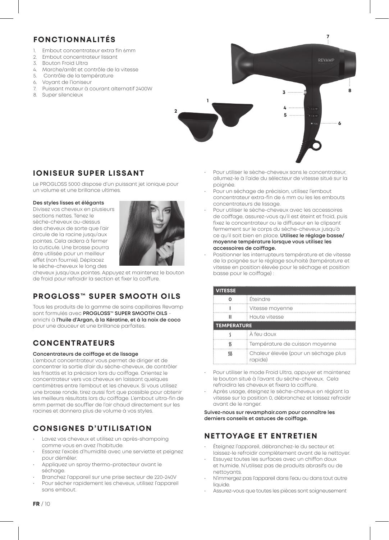### **FONCTIONNALITÉS**

- Embout concentrateur extra fin 6mm
- 2. Embout concentrateur lissant<br>3. Bouton Froid Ultra
- 3. Bouton Froid Ultra
- 4. Marche/arrêt et contrôle de la vitesse
- 5. Contrôle de la température
- 6. Voyant de l'ioniseur<br>7. Puissant moteur à c
- 7. Puissant moteur à courant alternatif 2400W 8. Super silencieux



#### **IONISEUR SUPER LISSANT**

Le PROGLOSS 5000 dispose d'un puissant jet ionique pour un volume et une brillance ultimes.

#### **Des styles lisses et élégants**

Divisez vos cheveux en plusieurs sections nettes. Tenez le sèche-cheveux au-dessus des cheveux de sorte que l'air circule de la racine jusqu'aux pointes. Cela aidera à fermer la cuticule. Une brosse pourra être utilisée pour un meilleur effet (non fournie). Déplacez le sèche-cheveux le long des



cheveux jusqu'aux pointes. Appuyez et maintenez le bouton de froid pour refroidir la section et fixer la coiffure.

### **PROGLOSS™ SUPER SMOOTH OILS**

Tous les produits de la gamme de soins capillaires Revamp sont formulés avec **PROGLOSS™ SUPER SMOOTH OILS** enrichi à **l'huile d'Argan, à la Kératine, et à la noix de coco** pour une douceur et une brillance parfaites.

### **CONCENTRATEURS**

#### **Concentrateurs de coiffage et de lissage**

L'embout concentrateur vous permet de diriger et de concentrer la sortie d'air du sèche-cheveux, de contrôler les frisottis et la précision lors du coiffage. Orientez le concentrateur vers vos cheveux en laissant quelques centimètres entre l'embout et les cheveux. Si vous utilisez une brosse ronde, tirez aussi fort que possible pour obtenir les meilleurs résultats lors du coiffage. L'embout ultra-fin de 6mm permet de souffler de l'air chaud directement sur les racines et donnera plus de volume à vos styles.

### **CONSIGNES D'UTILISATION**

- Lavez vos cheveux et utilisez un après-shampoing comme vous en avez l'habitude.
- Essorez l'excès d'humidité avec une serviette et peignez pour démêler.
- Appliquez un spray thermo-protecteur avant le séchage.
- Branchez l'appareil sur une prise secteur de 220-240V
- Pour sécher rapidement les cheveux, utilisez l'appareil sans embout.
- Pour utiliser le sèche-cheveux sans le concentrateur, allumez-le à l'aide du sélecteur de vitesse situé sur la poignée.
- Pour un séchage de précision, utilisez l'embout concentrateur extra-fin de 6 mm ou les les embouts concentrateurs de lissage.
- Pour utiliser le sèche-cheveux avec les accessoires de coiffage, assurez-vous qu'il est éteint et froid, puis fixez le concentrateur ou le diffuseur en le clipsant fermement sur le corps du sèche-cheveux jusqu'à ce qu'il soit bien en place. **Utilisez le réglage basse/ moyenne température lorsque vous utilisez les accessoires de coiffage.**
- Positionner les interrupteurs température et de vitesse de la poignée sur le réglage souhaité (température et vitesse en position élevée pour le séchage et position basse pour le coiffage) :

| <b>VITESSE</b>     |                                                 |  |
|--------------------|-------------------------------------------------|--|
|                    | Éteindre                                        |  |
|                    | Vitesse moyenne                                 |  |
|                    | Haute vitesse                                   |  |
| <b>TEMPERATURE</b> |                                                 |  |
|                    | À feu doux                                      |  |
|                    | Température de cuisson moyenne                  |  |
|                    | Chaleur élevée (pour un séchage plus<br>rapide) |  |

- Pour utiliser le mode Froid Ultra, appuyer et maintenez le bouton situé à l'avant du sèche-cheveux. Cela refroidira les cheveux et fixera la coiffure.
- Après usage, éteignez le sèche-cheveux en réglant la vitesse sur la position 0, débranchez et laissez refroidir avant de le ranger.

#### **Suivez-nous sur revamphair.com pour connaître les derniers conseils et astuces de coiffage.**

### **NETTOYAGE ET ENTRETIEN**

- Éteignez l'appareil, débranchez-le du secteur et laissez-le refroidir complètement avant de le nettoyer.
- Essuyez toutes les surfaces avec un chiffon doux et humide. N'utilisez pas de produits abrasifs ou de nettoyants.
- N'immergez pas l'appareil dans l'eau ou dans tout autre liquide.
- Assurez-vous que toutes les pièces sont soigneusement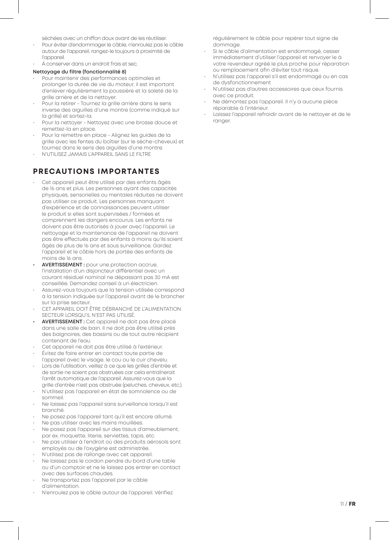séchées avec un chiffon doux avant de les réutiliser.

- Pour éviter d'endommager le câble, n'enroulez pas le câble autour de l'appareil, rangez-le toujours à proximité de l'appareil.
- À conserver dans un endroit frais et sec.

#### **Nettoyage du filtre (fonctionnalité 8)**

- Pour maintenir des performances optimales et prolonger la durée de vie du moteur, il est important d'enlever régulièrement la poussière et la saleté de la grille arrière et de la nettoyer.
- Pour la retirer Tournez la grille arrière dans le sens inverse des aiguilles d'une montre (comme indiqué sur la grille) et sortez-la.
- Pour la nettoyer Nettoyez avec une brosse douce et remettez-la en place.
- Pour la remettre en place Alignez les guides de la grille avec les fentes du boîtier (sur le sèche-cheveux) et tournez dans le sens des aiguilles d'une montre.
- N'UTILISEZ JAMAIS L'APPAREIL SANS LE FILTRE

#### **PRECAUTIONS IMPORTANTES**

- Cet appareil peut être utilisé par des enfants âgés de 16 ans et plus. Les personnes ayant des capacités physiques, sensorielles ou mentales réduites ne doivent pas utiliser ce produit. Les personnes manquant d'expérience et de connaissances peuvent utiliser le produit si elles sont supervisées / formées et comprennent les dangers encourus. Les enfants ne doivent pas être autorisés à jouer avec l'appareil. Le nettoyage et la maintenance de l'appareil ne doivent pas être effectués par des enfants à moins qu'ils soient âgés de plus de 16 ans et sous surveillance. Gardez l'appareil et le câble hors de portée des enfants de moins de 16 ans.
- **• AVERTISSEMENT :** pour une protection accrue, l'installation d'un disjoncteur différentiel avec un courant résiduel nominal ne dépassant pas 30 mA est conseillée. Demandez conseil à un électricien.
- Assurez-vous toujours que la tension utilisée correspond à la tension indiquée sur l'appareil avant de le brancher sur la prise secteur.
- CET APPAREIL DOIT ÊTRE DÉBRANCHÉ DE L'ALIMENTATION SECTEUR LORSQU'IL N'EST PAS UTILISÉ.
- **• AVERTISSEMENT :** Cet appareil ne doit pas être placé dans une salle de bain. Il ne doit pas être utilisé près des baignoires, des bassins ou de tout autre récipient contenant de l'eau.
- Cet appareil ne doit pas être utilisé à l'extérieur.
- Évitez de faire entrer en contact toute partie de l'appareil avec le visage, le cou ou le cuir chevelu.
- Lors de l'utilisation, veillez à ce que les grilles d'entrée et de sortie ne soient pas obstruées car cela entraînerait l'arrêt automatique de l'appareil. Assurez-vous que la grille d'entrée n'est pas obstruée (peluches, cheveux, etc.).
- N'utilisez pas l'appareil en état de somnolence ou de sommeil.
- Ne laissez pas l'appareil sans surveillance lorsqu'il est branché.
- Ne posez pas l'appareil tant qu'il est encore allumé.
- Ne pas utiliser avec les mains mouillées.
- Ne posez pas l'appareil sur des tissus d'ameublement, par ex. moquette, literie, serviettes, tapis, etc.
- Ne pas utiliser à l'endroit où des produits aérosols sont employés ou de l'oxygène est administrée.
- N'utilisez pas de rallonge avec cet appareil.
- Ne laissez pas le cordon pendre du bord d'une table ou d'un comptoir et ne le laissez pas entrer en contact avec des surfaces chaudes.
- Ne transportez pas l'appareil par le câble d'alimentation.
- N'enroulez pas le câble autour de l'appareil. Vérifiez

régulièrement le câble pour repérer tout signe de dommage.

- Si le câble d'alimentation est endommagé, cesser immédiatement d'utiliser l'appareil et renvoyer le à votre revendeur agréé le plus proche pour réparation ou remplacement afin d'éviter tout risque.
- N'utilisez pas l'appareil s'il est endommagé ou en cas de dysfonctionnement
- N'utilisez pas d'autres accessoires que ceux fournis avec ce produit.
- Ne démontez pas l'appareil. Il n'y a aucune pièce réparable à l'intérieur.
- Laissez l'appareil refroidir avant de le nettoyer et de le ranger.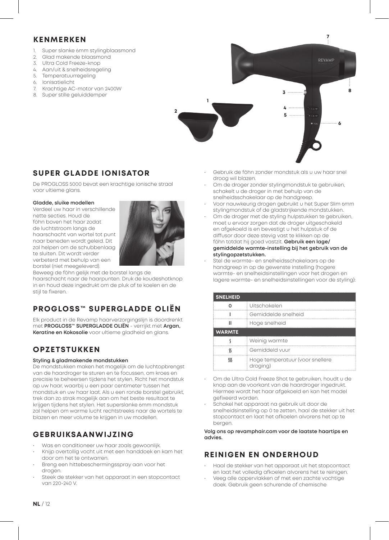#### **KENMERKEN**

- 1. Super slanke 6mm stylingblaasmond
- 2. Glad makende blaasmond
- 3. Ultra Cold Freeze-knop
- 4. Aan/uit & snelheidsregeling<br>5. Temperatuurregeling
- **Temperatuurregeling**
- 6. Ionisatielicht<br>7. Krachtige AC
- Krachtige AC-motor van 2400W
- 8. Super stille geluiddemper



### **SUPER GLADDE IONISATOR**

De PROGLOSS 5000 bevat een krachtige ionische straal voor ultieme glans.

#### **Gladde, sluike modellen**

Verdeel uw haar in verschillende nette secties. Houd de föhn boven het haar zodat de luchtstroom langs de haarschacht van wortel tot punt naar beneden wordt geleid. Dit zal helpen om de schubbenlaag te sluiten. Dit wordt verder verbeterd met behulp van een borstel (niet meegeleverd).



Beweeg de föhn gelijk met de borstel langs de haarschacht naar de haarpunten. Druk de koudeshotknop in en houd deze ingedrukt om de pluk af te koelen en de stijl te fixeren.

### **PROGLOSS™ SUPERGLADDE OLIËN**

Elk product in de Revamp haarverzorgingslijn is doordrenkt met **PROGLOSS™ SUPERGLADDE OLIËN** - verrijkt met **Argan, Keratine en Kokosolie** voor ultieme gladheid en glans.

### **OPZETSTUKKEN**

#### **Styling & gladmakende mondstukken**

De mondstukken maken het mogelijk om de luchtopbrengst van de haardroger te sturen en te focussen, om kroes en precisie te beheersen tijdens het stylen. Richt het mondstuk op uw haar, waarbij u een paar centimeter tussen het mondstuk en uw haar laat. Als u een ronde borstel gebruikt, trek dan zo strak mogelijk aan om het beste resultaat te krijgen tijdens het stylen. Het superslanke 6mm mondstuk zal helpen om warme lucht rechtstreeks naar de wortels te blazen en meer volume te krijgen in uw modellen.

#### **GEBRUIKSAANWIJZING**

- Was en conditioneer uw haar zoals gewoonlijk.
- Knijp overtollig vocht uit met een handdoek en kam het door om het te ontwarren.
- Breng een hittebeschermingsspray aan voor het drogen
- Steek de stekker van het apparaat in een stopcontact van 220-240 V.
- Gebruik de föhn zonder mondstuk als u uw haar snel droog wil blazen.
- Om de droger zonder stylingmondstuk te gebruiken, schakelt u de droger in met behulp van de snelheidsschakelaar op de handgreep.
- Voor nauwkeurig drogen gebruikt u het Super Slim 6mm stylingmondstuk of de gladstrijkende mondstukken.
- Om de droger met de styling hulpstukken te gebruiken, moet u ervoor zorgen dat de droger uitgeschakeld en afgekoeld is en bevestigt u het hulpstuk of de diffusor door deze stevig vast te klikken op de föhn totdat hij goed vastzit. **Gebruik een lage/ gemiddelde warmte-instelling bij het gebruik van de stylingopzetstukken.**
- Stel de warmte- en snelheidsschakelaars op de handgreep in op de gewenste instelling (hogere warmte- en snelheidsinstellingen voor het drogen en lagere warmte- en snelheidsinstellingen voor de styling):

| <b>SNELHEID</b> |                                             |  |
|-----------------|---------------------------------------------|--|
|                 | Uitschakelen                                |  |
|                 | Gemiddelde snelheid                         |  |
|                 | Hoge snelheid                               |  |
| <b>WARMTE</b>   |                                             |  |
|                 | Weinig warmte                               |  |
|                 | Gemiddeld vuur                              |  |
|                 | Hoge temperatuur (voor snellere<br>droaina) |  |

- Om de Ultra Cold Freeze Shot te gebruiken, houdt u de knop aan de voorkant van de haardroger ingedrukt. Hiermee wordt het haar afgekoeld en kan het model gefixeerd worden.
- Schakel het apparaat na gebruik uit door de snelheidsinstelling op 0 te zetten, haal de stekker uit het stopcontact en laat het afkoelen alvorens het op te bergen.

**Volg ons op revamphair.com voor de laatste haartips en advies.**

### **REINIGEN EN ONDERHOUD**

- Haal de stekker van het apparaat uit het stopcontact en laat het volledig afkoelen alvorens het te reinigen.
- Veeg alle oppervlakken af met een zachte vochtige doek. Gebruik geen schurende of chemische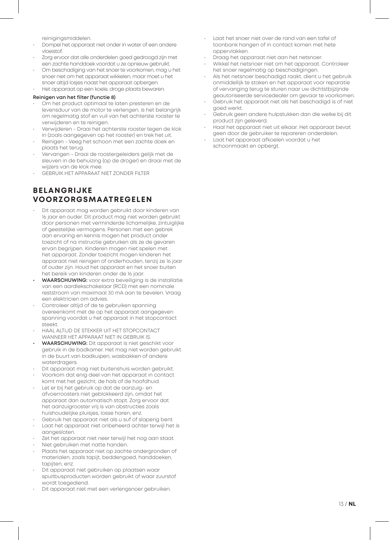reinigingsmiddelen.

- Dompel het apparaat niet onder in water of een andere vloeistof.
- Zorg ervoor dat alle onderdelen goed gedroogd zijn met een zachte handdoek voordat u ze opnieuw gebruikt.
- Om beschadiging van het snoer te voorkomen, mag u het snoer niet om het apparaat wikkelen, maar moet u het snoer altijd losjes naast het apparaat opbergen.
	- Het apparaat op een koele, droge plaats bewaren.

#### **Reinigen van het filter (functie 8)**

- Om het product optimaal te laten presteren en de levensduur van de motor te verlengen, is het belangrijk om regelmatig stof en vuil van het achterste rooster te verwijderen en te reinigen.
- Verwijderen Draai het achterste rooster tegen de klok in (zoals aangegeven op het rooster) en trek het uit.
- Reinigen Veeg het schoon met een zachte doek en plaats het terug.
- Vervangen Draai de roostergeleiders gelijk met de sleuven in de behuizing (op de droger) en draai met de wijzers van de klok mee.
- GEBRUIK HET APPARAAT NIET ZONDER FILTER

#### **BELANGRIJKE VOORZORGSMAATREGELEN**

- Dit apparaat mag worden gebruikt door kinderen van 16 jaar en ouder. Dit product mag niet worden gebruikt door personen met verminderde lichamelijke, zintuiglijke of geestelijke vermogens. Personen met een gebrek aan ervaring en kennis mogen het product onder toezicht of na instructie gebruiken als ze de gevaren ervan begrijpen. Kinderen mogen niet spelen met het apparaat. Zonder toezicht mogen kinderen het apparaat niet reinigen of onderhouden, tenzij ze 16 jaar of ouder zijn. Houd het apparaat en het snoer buiten het bereik van kinderen onder de 16 jaar.
- **• WAARSCHUWING:** voor extra beveiliging is de installatie van een aardlekschakelaar (RCD) met een nominale reststroom van maximaal 30 mA aan te bevelen. Vraag een elektricien om advies.
- Controleer altijd of de te gebruiken spanning overeenkomt met de op het apparaat aangegeven spanning voordat u het apparaat in het stopcontact steekt.
- HAAL ALTIJD DE STEKKER UIT HET STOPCONTACT WANNEER HET APPARAAT NIET IN GEBRUIK IS.
- **• WAARSCHUWING:** Dit apparaat is niet geschikt voor gebruik in de badkamer. Het mag niet worden gebruikt in de buurt van badkuipen, wasbakken of andere waterdragers.
- Dit apparaat mag niet buitenshuis worden gebruikt.
- Voorkom dat enig deel van het apparaat in contact komt met het gezicht, de hals of de hoofdhuid.
- Let er bij het gebruik op dat de aanzuig- en afvoerroosters niet geblokkeerd zijn, omdat het apparaat dan automatisch stopt. Zorg ervoor dat het aanzuigrooster vrij is van obstructies zoals huishoudelijke pluisjes, losse haren, enz.
- Gebruik het apparaat niet als u suf of slaperig bent.
- Laat het apparaat niet onbeheerd achter terwijl het is aangesloten.
- Zet het apparaat niet neer terwijl het nog aan staat.
- Niet gebruiken met natte handen.
- Plaats het apparaat niet op zachte ondergronden of materialen, zoals tapijt, beddengoed, handdoeken, tapiiten, enz.
- Dit apparaat niet gebruiken op plaatsen waar spuitbusproducten worden gebruikt of waar zuurstof wordt toegediend.
- Dit apparaat niet met een verlengsnoer gebruiken.
- Laat het snoer niet over de rand van een tafel of toonbank hangen of in contact komen met hete oppervlakken.
- Draag het apparaat niet aan het netsnoer.
- Wikkel het netsnoer niet om het apparaat. Controleer het snoer regelmatig op beschadigingen.
- Als het netsnoer beschadigd raakt, dient u het gebruik onmiddellijk te staken en het apparaat voor reparatie of vervanging terug te sturen naar uw dichtstbijzijnde geautoriseerde servicedealer om gevaar te voorkomen.
- Gebruik het apparaat niet als het beschadigd is of niet goed werkt.
- Gebruik geen andere hulpstukken dan die welke bij dit product zijn geleverd.
- Haal het apparaat niet uit elkaar. Het apparaat bevat geen door de gebruiker te repareren onderdelen.
- Laat het apparaat afkoelen voordat u het schoonmaakt en opbergt.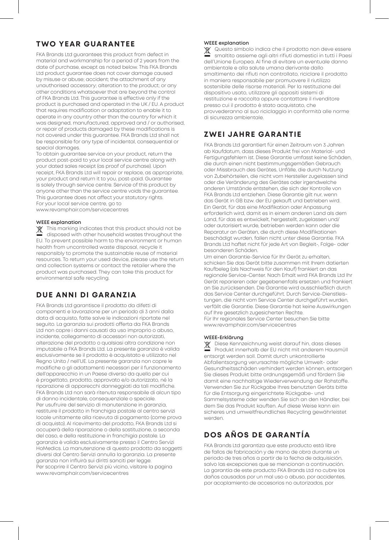#### **TWO YEAR GUARANTEE**

FKA Brands Ltd guarantees this product from defect in material and workmanship for a period of 2 years from the date of purchase, except as noted below. This FKA Brands Ltd product guarantee does not cover damage caused by misuse or abuse; accident; the attachment of any unauthorised accessory; alteration to the product; or any other conditions whatsoever that are beyond the control of FKA Brands Ltd. This guarantee is effective only if the product is purchased and operated in the UK / EU. A product that requires modification or adaptation to enable it to operate in any country other than the country for which it was designed, manufactured, approved and / or authorised, or repair of products damaged by these modifications is not covered under this guarantee. FKA Brands Ltd shall not be responsible for any type of incidental, consequential or special damages.

To obtain guarantee service on your product, return the product post-paid to your local service centre along with your dated sales receipt (as proof of purchase). Upon receipt, FKA Brands Ltd will repair or replace, as appropriate, your product and return it to you, post-paid. Guarantee is solely through service centre. Service of this product by anyone other than the service centre voids the guarantee. This guarantee does not affect your statutory rights. For your local service centre, go to www.revamphair.com/servicecentres

#### **WEEE explanation**

This marking indicates that this product should not be disposed with other household wastes throughout the EU. To prevent possible harm to the environment or human health from uncontrolled waste disposal, recycle it responsibly to promote the sustainable reuse of material resources. To return your used device, please use the return and collection systems or contact the retailer where the product was purchased. They can take this product for environmental safe recycling.

#### **DUE ANNI DI GARANZIA**

FKA Brands Ltd garantisce il prodotto da difetti di componenti e lavorazione per un periodo di 3 anni dalla data di acquisto, fatte salve le indicazioni riportate nel seguito. La garanzia sui prodotti offerta da FKA Brands Ltd non copre i danni causati da uso improprio o abuso, incidente, collegamento di accessori non autorizzati, alterazione del prodotto o qualsiasi altra condizione non imputabile a FKA Brands Ltd. La presente garanzia è valida esclusivamente se il prodotto è acquistato e utilizzato nel Regno Unito / nell'UE. La presente garanzia non copre le modifiche o gli adattamenti necessari per il funzionamento dell'apparecchio in un Paese diverso da quello per cui è progettato, prodotto, approvato e/o autorizzato, né la riparazione di apparecchi danneggiati da tali modifiche. FKA Brands Ltd non sarà ritenuta responsabile di alcun tipo di danno incidentale, consequenziale o speciale. Per usufruire del servizio di manutenzione in garanzia, restituire il prodotto in franchigia postale al centro servizi locale unitamente alla ricevuta di pagamento (come prova di acquisto). Al ricevimento del prodotto, FKA Brands Ltd si occuperà della riparazione o della sostituzione, a seconda del caso, e della restituzione in franchigia postale. La garanzia è valida esclusivamente presso il Centro Servizi HoMedics. La manutenzione di questo prodotto da soggetti diversi dal Centro Servizi annulla la garanzia. La presente garanzia non influirà sui diritti sanciti per legge. Per scoprire il Centro Servizi più vicino, visitare la pagina www.revamphair.com/servicecentres

#### **WEEE explanation**

Questo simbolo indica che il prodotto non deve essere smaltito assieme agli altri rifiuti domestici in tutti i Paesi dell'Unione Europea. Al fine di evitare un eventuale danno ambientale e alla salute umana derivante dallo smaltimento dei rifiuti non controllato, riciclare il prodotto in maniera responsabile per promuovere il riutilizzo sostenibile delle risorse materiali. Per la restituzione del dispositivo usato, utilizzare gli appositi sistemi di restituzione e raccolta oppure contattare il rivenditore presso cui il prodotto è stato acquistato, che provvederanno al suo riciclaggio in conformità alle norme di sicurezza ambientale.

### **ZWEI JAHRE GARANTIE**

FKA Brands Ltd garantiert für einen Zeitraum von 3 Jahren ab Kaufdatum, dass dieses Produkt frei von Material- und Fertigungsfehlern ist. Diese Garantie umfasst keine Schäden, die durch einen nicht bestimmungsgemäßen Gebrauch oder Missbrauch des Gerätes, Unfälle, die durch Nutzung von Zubehörteilen, die nicht vom Hersteller zugelassen sind oder die Veränderung des Gerätes oder irgendwelche anderen Umstände entstehen, die sich der Kontrolle von FKA Brands Ltd entziehen. Diese Garantie gilt nur, wenn das Gerät in GB bzw. der EU gekauft und betrieben wird. Ein Gerät, für das eine Modifikation oder Anpassung erforderlich wird, damit es in einem anderen Land als dem Land, für das es entwickelt, hergestellt, zugelassen und/ oder autorisiert wurde, betrieben werden kann oder die Reparatur an Geräten, die durch diese Modifikationen beschädigt wurden, fallen nicht unter diese Garantie. FKA Brands Ltd haftet nicht für jede Art von Begleit-, Folge- oder besonderen Schäden.

Um einen Garantie-Service für Ihr Gerät zu erhalten, schicken Sie das Gerät bitte zusammen mit Ihrem datierten Kaufbeleg (als Nachweis für den Kauf) frankiert an das regionale Service-Center. Nach Erhalt wird FKA Brands Ltd Ihr Gerät reparieren oder gegebenenfalls ersetzen und frankiert an Sie zurücksenden. Die Garantie wird ausschließlich durch das Service Center durchgeführt. Durch Service-Dienstleistungen, die nicht vom Service Center durchgeführt wurden, verfällt die Garantie. Diese Garantie hat keine Auswirkungen auf Ihre gesetzlich zugesicherten Rechte. Für Ihr regionales Service Center besuchen Sie bitte www.revamphair.com/servicecentres

#### **WEEE-Erklärung**

 $\mathbb{X}$ Diese Kennzeichnung weist darauf hin, dass dieses Produkt innerhalb der EU nicht mit anderem Hausmüll entsorgt werden soll. Damit durch unkontrollierte Abfallentsorgung verursachte mögliche Umwelt- oder Gesundheitsschäden verhindert werden können, entsorgen Sie dieses Produkt bitte ordnungsgemäß und fördern Sie damit eine nachhaltige Wiederverwendung der Rohstoffe. Verwenden Sie zur Rückgabe Ihres benutzten Geräts bitte für die Entsorgung eingerichtete Rückgabe- und Sammelsysteme oder wenden Sie sich an den Händler, bei dem Sie das Produkt kauften. Auf diese Weise kann ein sicheres und umweltfreundliches Recycling gewährleistet werden.

### **DOS AÑOS DE GARANTÍA**

FKA Brands Ltd garantiza que este producto está libre de fallos de fabricación y de mano de obra durante un periodo de tres años a partir de la fecha de adquisición, salvo las excepciones que se mencionan a continuación. La garantía de este producto FKA Brands Ltd no cubre los daños causados por un mal uso o abuso, por accidentes, por acoplamiento de accesorios no autorizados, por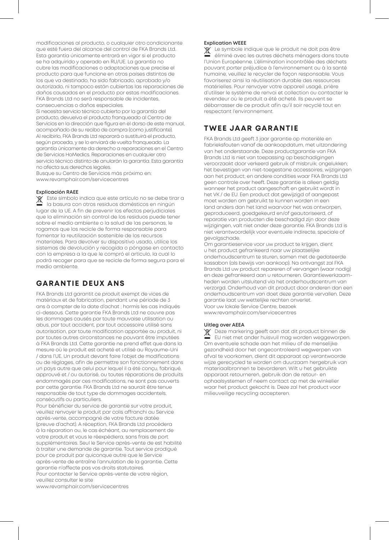modificaciones al producto, o cualquier otro condicionante que esté fuera del alcance del control de FKA Brands Ltd. Esta garantía únicamente entrará en vigor si el producto se ha adquirido y operado en RU/UE. La garantía no cubre las modificaciones o adaptaciones que precise el producto para que funcione en otros países distintos de los que va destinado, ha sido fabricado, aprobado y/o autorizado, ni tampoco están cubiertas las reparaciones de daños causados en el producto por estas modificaciones. FKA Brands Ltd no será responsable de incidentes, consecuencias o daños especiales.

Si necesita servicio técnico cubierto por la garantía del producto, devuelva el producto franqueado al Centro de Servicios en la dirección que figura en el dorso de este manual, acompañado de su recibo de compra (como justificante). Al recibirlo, FKA Brands Ltd reparará o sustituirá el producto, según proceda, y se lo enviará de vuelta franqueado. La garantía únicamente da derecho a reparaciones en el Centro de Servicios HoMedics. Reparaciones en cualquier otro servicio técnico distinto de anularán la garantía. Esta garantía no afecta sus derechos legales.

Busque su Centro de Servicios más próximo en: www.revamphair.com/servicecentres

#### **Explicación RAEE**

Este símbolo indica que este artículo no se debe tirar a la basura con otros residuos domésticos en ningún lugar de la UE. A fin de prevenir los efectos perjudiciales que la eliminación sin control de los residuos puede tener sobre el medio ambiente o la salud de las personas, le rogamos que los recicle de forma responsable para fomentar la reutilización sostenible de los recursos materiales. Para devolver su dispositivo usado, utilice los sistemas de devolución y recogida o póngase en contacto con la empresa a la que le compró el artículo, la cual lo podrá recoger para que se recicle de forma segura para el medio ambiente.

#### **GARANTIE DEUX ANS**

FKA Brands Ltd garantit ce produit exempt de vices de matériaux et de fabrication, pendant une période de 3 ans à compter de la date d'achat ; hormis les cas indiqués ci-dessous. Cette garantie FKA Brands Ltd ne couvre pas les dommages causés par toute mauvaise utilisation ou abus, par tout accident, par tout accessoire utilisé sans autorisation, par toute modification apportée au produit, ni par toutes autres circonstances ne pouvant être imputées à FKA Brands Ltd. Cette garantie ne prend effet que dans la mesure où le produit est acheté et utilisé au Royaume-Uni / dans l'UE. Un produit devant faire l'objet de modifications ou de réglages, afin de permettre son fonctionnement dans un pays autre que celui pour lequel il a été conçu, fabriqué, approuvé et / ou autorisé, ou toutes réparations de produits endommagés par ces modifications, ne sont pas couverts par cette garantie. FKA Brands Ltd ne saurait être tenue responsable de tout type de dommages accidentels, consécutifs ou particuliers.

Pour bénéficier du service de garantie sur votre produit, veuillez renvoyer le produit par colis affranchi au Service après-vente, accompagné de votre facture datée (preuve d'achat). A réception, FKA Brands Ltd procédera à la réparation ou, le cas échéant, au remplacement de votre produit et vous le réexpédiera, sans frais de port supplémentaires. Seul le Service après-vente de est habilité à traiter une demande de garantie. Tout service prodigué pour ce produit par quiconque autre que le Service après-vente de entraîne l'annulation de la garantie. Cette garantie n'affecte pas vos droits statutaires.

Pour contacter le Service après-vente de votre région, veuillez consulter le site

www.revamphair.com/servicecentres

#### **Explication WEEE**

Le symbole indique que le produit ne doit pas être X éliminé avec les autres déchets ménagers dans toute l'Union Européenne. L'élimination incontrôlée des déchets pouvant porter préjudice à l'environnement ou à la santé humaine, veuillez le recycler de façon responsable. Vous favoriserez ainsi la réutilisation durable des ressources matérielles. Pour renvoyer votre appareil usagé, prière d'utiliser le système de renvoi et collection ou contacter le revendeur où le produit a été acheté. Ils peuvent se débarrasser de ce produit afin qu'il soir recyclé tout en respectant l'environnement.

#### **TWEE JAAR GARANTIE**

FKA Brands Ltd geeft 3 jaar garantie op materiële en fabrieksfouten vanaf de aankoopdatum, met uitzondering van het onderstaande. Deze productgarantie van FKA Brands Ltd is niet van toepassing op beschadigingen veroorzaakt door verkeerd gebruik of misbruik; ongelukken; het bevestigen van niet-toegestane accessoires; wijzigingen aan het product; en andere condities waar FKA Brands Ltd geen controle over heeft. Deze garantie is alleen geldig wanneer het product aangeschaft en gebruikt wordt in het VK / de EU. Een product dat gewijzigd of aangepast moet worden om gebruikt te kunnen worden in een land anders dan het land waarvoor het was ontworpen, geproduceerd, goedgekeurd en/of geautoriseerd, of reparatie van producten die beschadigd zijn door deze wijzigingen, valt niet onder deze garantie. FKA Brands Ltd is niet verantwoordelijk voor eventuele indirecte, speciale of gevolgschade.

Om garantieservice voor uw product te krijgen, dient u het product gefrankeerd naar uw plaatselijke onderhoudscentrum te sturen, samen met de gedateerde kassabon (als bewijs van aankoop). Na ontvangst zal FKA Brands Ltd uw product repareren of vervangen (waar nodig) en deze gefrankeerd aan u retourneren. Garantiewerkzaamheden worden uitsluitend via het onderhoudscentrum van verzorgd. Onderhoud van dit product door anderen dan een onderhoudscentrum van doet deze garantie vervallen. Deze garantie laat uw wettelijke rechten onverlet. Voor uw lokale Service Centre, bezoek www.revamphair.com/servicecentres

#### **Uitleg over AEEA**

 $\mathbb{X}$ Deze markering geeft aan dat dit product binnen de EU niet met ander huisvuil mag worden weggeworpen. Om eventuele schade aan het milieu of de menselijke gezondheid door het ongecontroleerd wegwerpen van afval te voorkomen, dient dit apparaat op verantwoorde wijze gerecycled te worden om duurzaam hergebruik van materiaalbronnen te bevorderen. Wilt u het gebruikte apparaat retourneren, gebruik dan de retour- en ophaalsystemen of neem contact op met de winkelier waar het product gekocht is. Deze zal het product voor milieuveilige recycling accepteren.